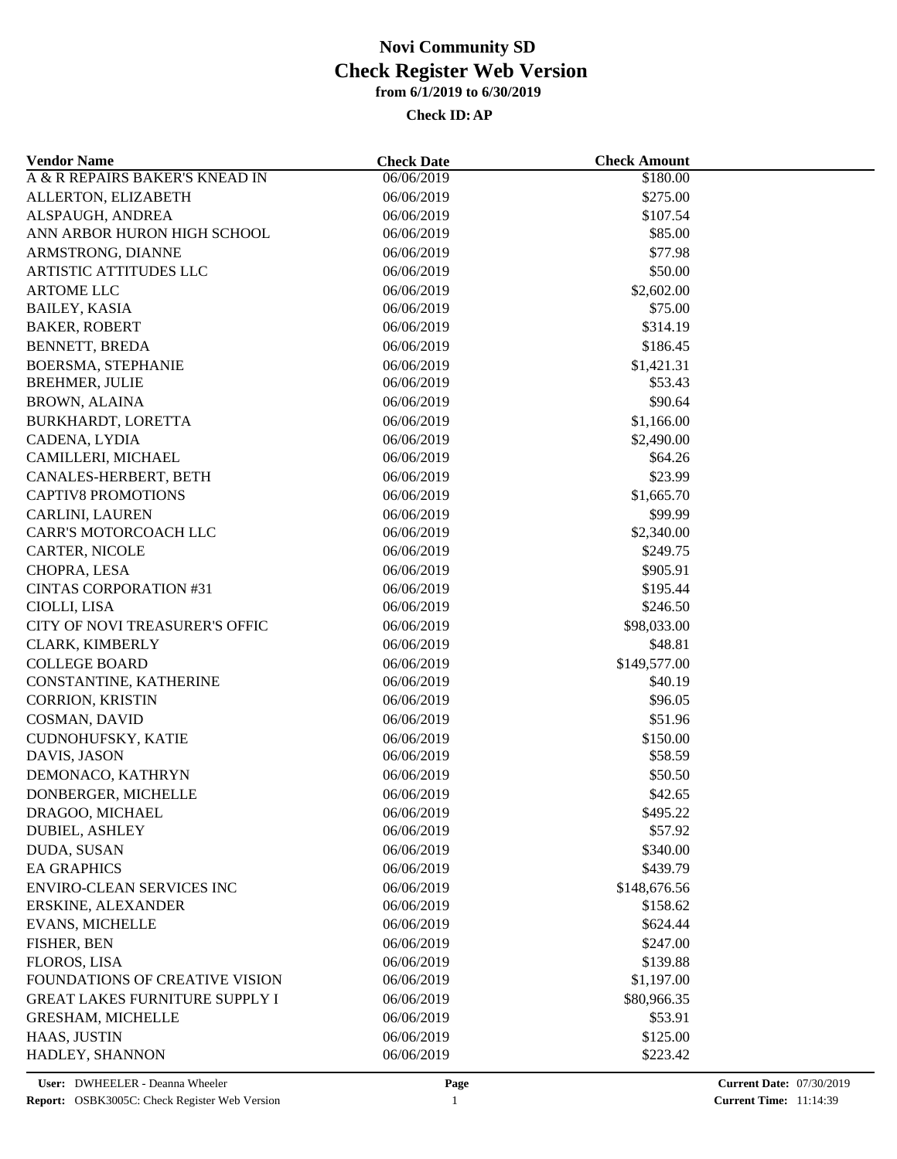| <b>Vendor Name</b>                    | <b>Check Date</b> | <b>Check Amount</b> |  |
|---------------------------------------|-------------------|---------------------|--|
| A & R REPAIRS BAKER'S KNEAD IN        | 06/06/2019        | \$180.00            |  |
| ALLERTON, ELIZABETH                   | 06/06/2019        | \$275.00            |  |
| ALSPAUGH, ANDREA                      | 06/06/2019        | \$107.54            |  |
| ANN ARBOR HURON HIGH SCHOOL           | 06/06/2019        | \$85.00             |  |
| ARMSTRONG, DIANNE                     | 06/06/2019        | \$77.98             |  |
| <b>ARTISTIC ATTITUDES LLC</b>         | 06/06/2019        | \$50.00             |  |
| <b>ARTOME LLC</b>                     | 06/06/2019        | \$2,602.00          |  |
| <b>BAILEY, KASIA</b>                  | 06/06/2019        | \$75.00             |  |
| <b>BAKER, ROBERT</b>                  | 06/06/2019        | \$314.19            |  |
| BENNETT, BREDA                        | 06/06/2019        | \$186.45            |  |
| <b>BOERSMA, STEPHANIE</b>             | 06/06/2019        | \$1,421.31          |  |
| <b>BREHMER, JULIE</b>                 | 06/06/2019        | \$53.43             |  |
| <b>BROWN, ALAINA</b>                  | 06/06/2019        | \$90.64             |  |
| BURKHARDT, LORETTA                    | 06/06/2019        | \$1,166.00          |  |
| CADENA, LYDIA                         | 06/06/2019        | \$2,490.00          |  |
| CAMILLERI, MICHAEL                    | 06/06/2019        | \$64.26             |  |
| CANALES-HERBERT, BETH                 | 06/06/2019        | \$23.99             |  |
| <b>CAPTIV8 PROMOTIONS</b>             | 06/06/2019        | \$1,665.70          |  |
| <b>CARLINI, LAUREN</b>                | 06/06/2019        | \$99.99             |  |
| <b>CARR'S MOTORCOACH LLC</b>          | 06/06/2019        | \$2,340.00          |  |
| CARTER, NICOLE                        | 06/06/2019        | \$249.75            |  |
| CHOPRA, LESA                          | 06/06/2019        |                     |  |
|                                       |                   | \$905.91            |  |
| <b>CINTAS CORPORATION #31</b>         | 06/06/2019        | \$195.44            |  |
| CIOLLI, LISA                          | 06/06/2019        | \$246.50            |  |
| CITY OF NOVI TREASURER'S OFFIC        | 06/06/2019        | \$98,033.00         |  |
| CLARK, KIMBERLY                       | 06/06/2019        | \$48.81             |  |
| <b>COLLEGE BOARD</b>                  | 06/06/2019        | \$149,577.00        |  |
| CONSTANTINE, KATHERINE                | 06/06/2019        | \$40.19             |  |
| CORRION, KRISTIN                      | 06/06/2019        | \$96.05             |  |
| COSMAN, DAVID                         | 06/06/2019        | \$51.96             |  |
| CUDNOHUFSKY, KATIE                    | 06/06/2019        | \$150.00            |  |
| DAVIS, JASON                          | 06/06/2019        | \$58.59             |  |
| DEMONACO, KATHRYN                     | 06/06/2019        | \$50.50             |  |
| DONBERGER, MICHELLE                   | 06/06/2019        | \$42.65             |  |
| DRAGOO, MICHAEL                       | 06/06/2019        | \$495.22            |  |
| <b>DUBIEL, ASHLEY</b>                 | 06/06/2019        | \$57.92             |  |
| DUDA, SUSAN                           | 06/06/2019        | \$340.00            |  |
| <b>EA GRAPHICS</b>                    | 06/06/2019        | \$439.79            |  |
| <b>ENVIRO-CLEAN SERVICES INC</b>      | 06/06/2019        | \$148,676.56        |  |
| ERSKINE, ALEXANDER                    | 06/06/2019        | \$158.62            |  |
| <b>EVANS, MICHELLE</b>                | 06/06/2019        | \$624.44            |  |
| FISHER, BEN                           | 06/06/2019        | \$247.00            |  |
| FLOROS, LISA                          | 06/06/2019        | \$139.88            |  |
| <b>FOUNDATIONS OF CREATIVE VISION</b> | 06/06/2019        | \$1,197.00          |  |
| <b>GREAT LAKES FURNITURE SUPPLY I</b> | 06/06/2019        | \$80,966.35         |  |
| <b>GRESHAM, MICHELLE</b>              | 06/06/2019        | \$53.91             |  |
| HAAS, JUSTIN                          | 06/06/2019        | \$125.00            |  |
| HADLEY, SHANNON                       | 06/06/2019        | \$223.42            |  |
|                                       |                   |                     |  |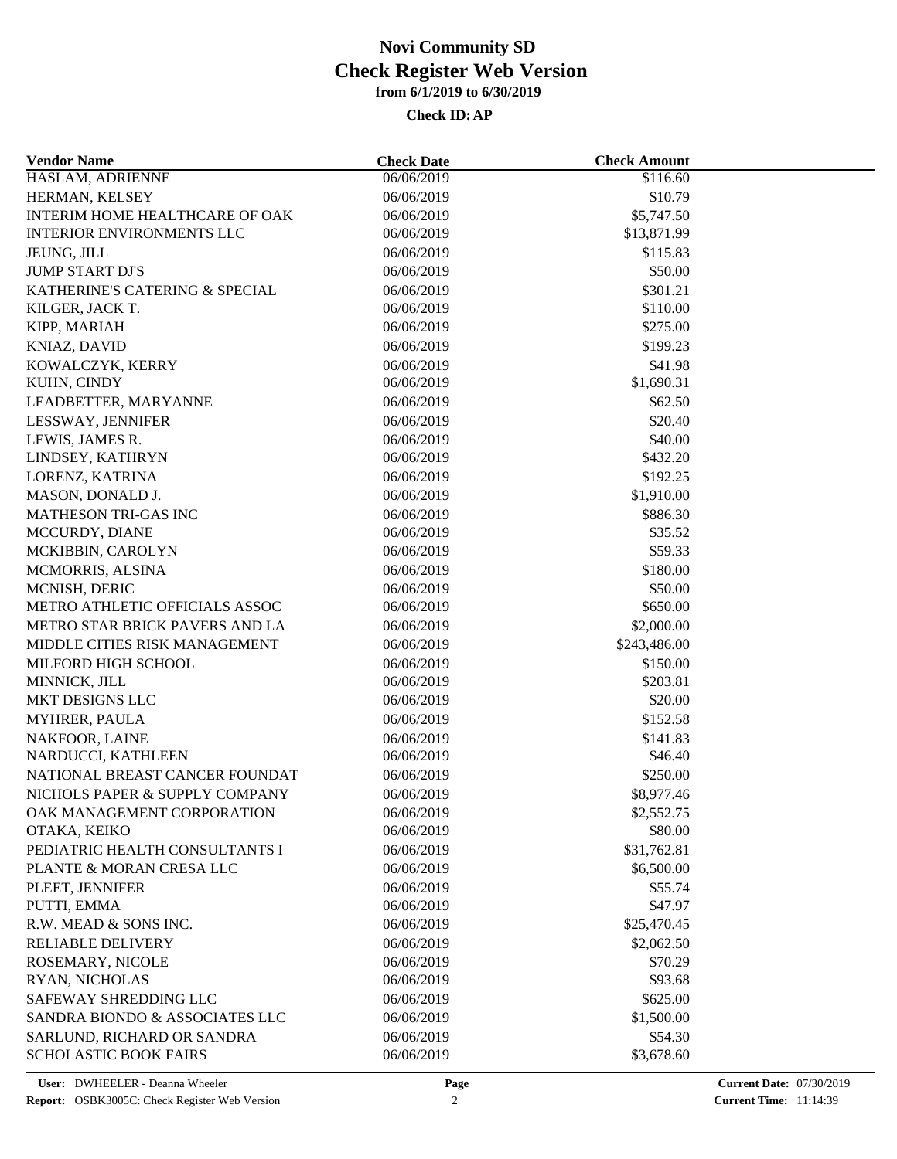| <b>Vendor Name</b>                         | <b>Check Date</b>        | <b>Check Amount</b>   |  |
|--------------------------------------------|--------------------------|-----------------------|--|
| HASLAM, ADRIENNE                           | 06/06/2019               | \$116.60              |  |
| HERMAN, KELSEY                             | 06/06/2019               | \$10.79               |  |
| <b>INTERIM HOME HEALTHCARE OF OAK</b>      | 06/06/2019               | \$5,747.50            |  |
| <b>INTERIOR ENVIRONMENTS LLC</b>           | 06/06/2019               | \$13,871.99           |  |
| JEUNG, JILL                                | 06/06/2019               | \$115.83              |  |
| <b>JUMP START DJ'S</b>                     | 06/06/2019               | \$50.00               |  |
| KATHERINE'S CATERING & SPECIAL             | 06/06/2019               | \$301.21              |  |
| KILGER, JACK T.                            | 06/06/2019               | \$110.00              |  |
| KIPP, MARIAH                               | 06/06/2019               | \$275.00              |  |
| KNIAZ, DAVID                               | 06/06/2019               | \$199.23              |  |
| KOWALCZYK, KERRY                           | 06/06/2019               | \$41.98               |  |
| KUHN, CINDY                                | 06/06/2019               | \$1,690.31            |  |
| LEADBETTER, MARYANNE                       | 06/06/2019               | \$62.50               |  |
| LESSWAY, JENNIFER                          | 06/06/2019               | \$20.40               |  |
| LEWIS, JAMES R.                            | 06/06/2019               | \$40.00               |  |
| LINDSEY, KATHRYN                           | 06/06/2019               | \$432.20              |  |
| LORENZ, KATRINA                            | 06/06/2019               | \$192.25              |  |
| MASON, DONALD J.                           | 06/06/2019               | \$1,910.00            |  |
| <b>MATHESON TRI-GAS INC</b>                | 06/06/2019               | \$886.30              |  |
| MCCURDY, DIANE                             | 06/06/2019               | \$35.52               |  |
| MCKIBBIN, CAROLYN                          | 06/06/2019               | \$59.33               |  |
| MCMORRIS, ALSINA                           | 06/06/2019               | \$180.00              |  |
| MCNISH, DERIC                              | 06/06/2019               | \$50.00               |  |
| METRO ATHLETIC OFFICIALS ASSOC             | 06/06/2019               | \$650.00              |  |
| METRO STAR BRICK PAVERS AND LA             | 06/06/2019               | \$2,000.00            |  |
| MIDDLE CITIES RISK MANAGEMENT              | 06/06/2019               | \$243,486.00          |  |
| MILFORD HIGH SCHOOL                        | 06/06/2019               | \$150.00              |  |
| MINNICK, JILL                              | 06/06/2019               | \$203.81              |  |
| MKT DESIGNS LLC                            | 06/06/2019               | \$20.00               |  |
| <b>MYHRER, PAULA</b>                       | 06/06/2019               | \$152.58              |  |
| NAKFOOR, LAINE                             | 06/06/2019               | \$141.83              |  |
| NARDUCCI, KATHLEEN                         | 06/06/2019               | \$46.40               |  |
| NATIONAL BREAST CANCER FOUNDAT             | 06/06/2019               | \$250.00              |  |
| NICHOLS PAPER & SUPPLY COMPANY             |                          |                       |  |
|                                            | 06/06/2019               | \$8,977.46            |  |
| OAK MANAGEMENT CORPORATION<br>OTAKA, KEIKO | 06/06/2019<br>06/06/2019 | \$2,552.75<br>\$80.00 |  |
| PEDIATRIC HEALTH CONSULTANTS I             | 06/06/2019               | \$31,762.81           |  |
|                                            |                          |                       |  |
| PLANTE & MORAN CRESA LLC                   | 06/06/2019               | \$6,500.00            |  |
| PLEET, JENNIFER                            | 06/06/2019               | \$55.74               |  |
| PUTTI, EMMA                                | 06/06/2019               | \$47.97               |  |
| R.W. MEAD & SONS INC.                      | 06/06/2019               | \$25,470.45           |  |
| <b>RELIABLE DELIVERY</b>                   | 06/06/2019               | \$2,062.50            |  |
| ROSEMARY, NICOLE                           | 06/06/2019               | \$70.29               |  |
| RYAN, NICHOLAS                             | 06/06/2019               | \$93.68               |  |
| SAFEWAY SHREDDING LLC                      | 06/06/2019               | \$625.00              |  |
| SANDRA BIONDO & ASSOCIATES LLC             | 06/06/2019               | \$1,500.00            |  |
| SARLUND, RICHARD OR SANDRA                 | 06/06/2019               | \$54.30               |  |
| <b>SCHOLASTIC BOOK FAIRS</b>               | 06/06/2019               | \$3,678.60            |  |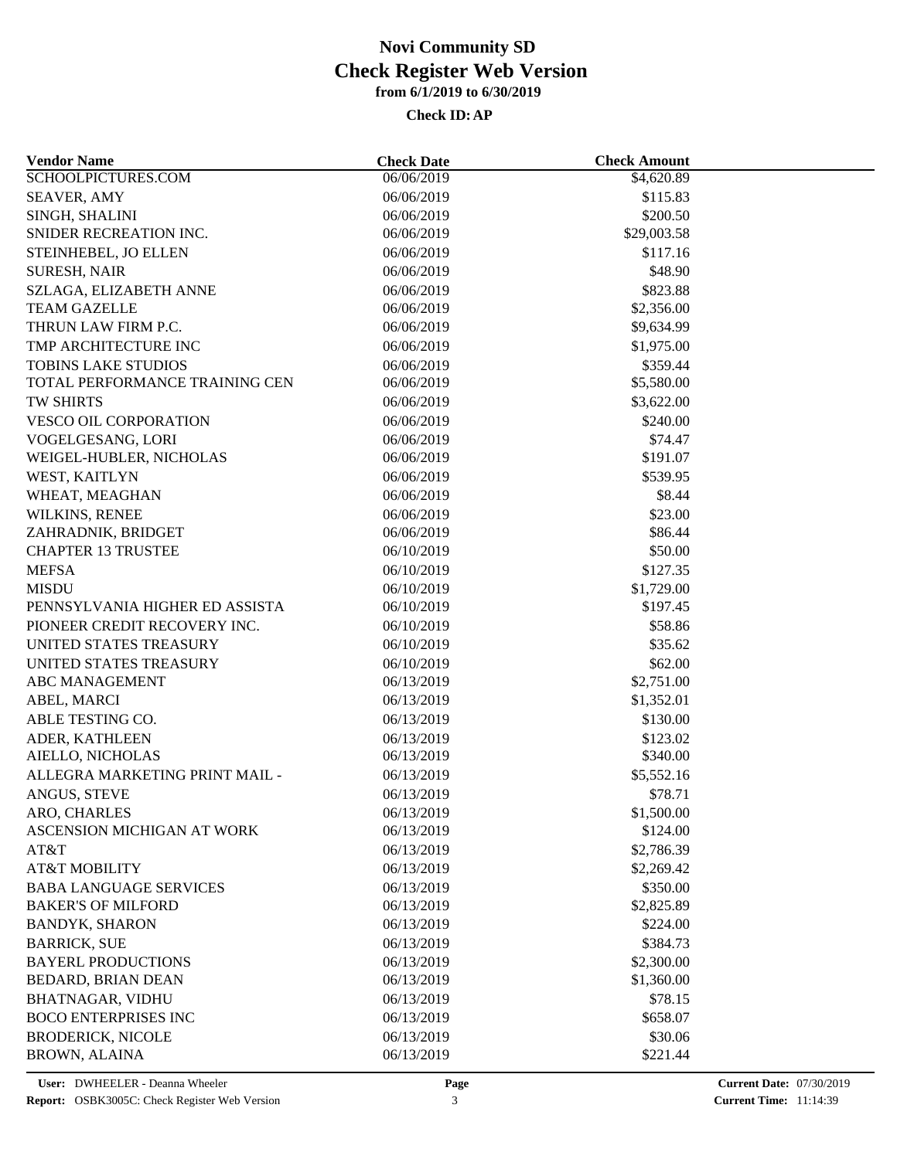| <b>Vendor Name</b>             | <b>Check Date</b> | <b>Check Amount</b>    |  |
|--------------------------------|-------------------|------------------------|--|
| SCHOOLPICTURES.COM             | 06/06/2019        | \$4,620.89             |  |
| <b>SEAVER, AMY</b>             | 06/06/2019        | \$115.83               |  |
| SINGH, SHALINI                 | 06/06/2019        | \$200.50               |  |
| SNIDER RECREATION INC.         | 06/06/2019        | \$29,003.58            |  |
| STEINHEBEL, JO ELLEN           | 06/06/2019        | \$117.16               |  |
| <b>SURESH, NAIR</b>            | 06/06/2019        | \$48.90                |  |
| SZLAGA, ELIZABETH ANNE         | 06/06/2019        | \$823.88               |  |
| <b>TEAM GAZELLE</b>            | 06/06/2019        | \$2,356.00             |  |
| THRUN LAW FIRM P.C.            | 06/06/2019        | \$9,634.99             |  |
| TMP ARCHITECTURE INC           | 06/06/2019        | \$1,975.00             |  |
| <b>TOBINS LAKE STUDIOS</b>     | 06/06/2019        | \$359.44               |  |
| TOTAL PERFORMANCE TRAINING CEN | 06/06/2019        | \$5,580.00             |  |
| TW SHIRTS                      | 06/06/2019        | \$3,622.00             |  |
| VESCO OIL CORPORATION          | 06/06/2019        | \$240.00               |  |
| VOGELGESANG, LORI              | 06/06/2019        | \$74.47                |  |
| WEIGEL-HUBLER, NICHOLAS        | 06/06/2019        | \$191.07               |  |
| WEST, KAITLYN                  | 06/06/2019        | \$539.95               |  |
| WHEAT, MEAGHAN                 | 06/06/2019        | \$8.44                 |  |
| WILKINS, RENEE                 | 06/06/2019        | \$23.00                |  |
| ZAHRADNIK, BRIDGET             | 06/06/2019        | \$86.44                |  |
| <b>CHAPTER 13 TRUSTEE</b>      | 06/10/2019        | \$50.00                |  |
| <b>MEFSA</b>                   | 06/10/2019        | \$127.35               |  |
| <b>MISDU</b>                   | 06/10/2019        |                        |  |
| PENNSYLVANIA HIGHER ED ASSISTA | 06/10/2019        | \$1,729.00<br>\$197.45 |  |
| PIONEER CREDIT RECOVERY INC.   | 06/10/2019        | \$58.86                |  |
|                                |                   |                        |  |
| UNITED STATES TREASURY         | 06/10/2019        | \$35.62                |  |
| UNITED STATES TREASURY         | 06/10/2019        | \$62.00                |  |
| <b>ABC MANAGEMENT</b>          | 06/13/2019        | \$2,751.00             |  |
| ABEL, MARCI                    | 06/13/2019        | \$1,352.01             |  |
| ABLE TESTING CO.               | 06/13/2019        | \$130.00               |  |
| ADER, KATHLEEN                 | 06/13/2019        | \$123.02               |  |
| AIELLO, NICHOLAS               | 06/13/2019        | \$340.00               |  |
| ALLEGRA MARKETING PRINT MAIL - | 06/13/2019        | \$5,552.16             |  |
| ANGUS, STEVE                   | 06/13/2019        | \$78.71                |  |
| ARO, CHARLES                   | 06/13/2019        | \$1,500.00             |  |
| ASCENSION MICHIGAN AT WORK     | 06/13/2019        | \$124.00               |  |
| AT&T                           | 06/13/2019        | \$2,786.39             |  |
| <b>AT&amp;T MOBILITY</b>       | 06/13/2019        | \$2,269.42             |  |
| <b>BABA LANGUAGE SERVICES</b>  | 06/13/2019        | \$350.00               |  |
| <b>BAKER'S OF MILFORD</b>      | 06/13/2019        | \$2,825.89             |  |
| <b>BANDYK, SHARON</b>          | 06/13/2019        | \$224.00               |  |
| <b>BARRICK, SUE</b>            | 06/13/2019        | \$384.73               |  |
| <b>BAYERL PRODUCTIONS</b>      | 06/13/2019        | \$2,300.00             |  |
| <b>BEDARD, BRIAN DEAN</b>      | 06/13/2019        | \$1,360.00             |  |
| <b>BHATNAGAR, VIDHU</b>        | 06/13/2019        | \$78.15                |  |
| <b>BOCO ENTERPRISES INC</b>    | 06/13/2019        | \$658.07               |  |
| <b>BRODERICK, NICOLE</b>       | 06/13/2019        | \$30.06                |  |
| <b>BROWN, ALAINA</b>           | 06/13/2019        | \$221.44               |  |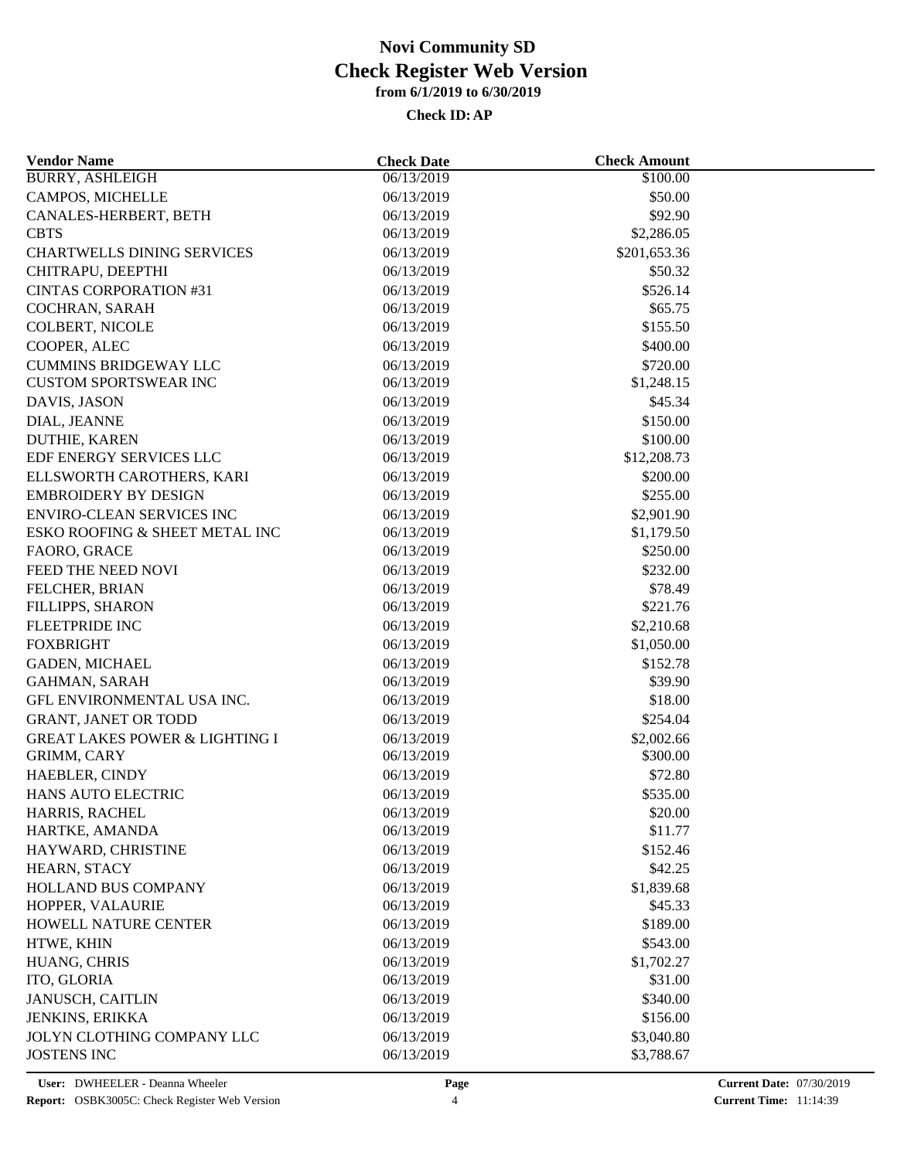| <b>Vendor Name</b>                        | <b>Check Date</b> | <b>Check Amount</b> |  |
|-------------------------------------------|-------------------|---------------------|--|
| <b>BURRY, ASHLEIGH</b>                    | 06/13/2019        | \$100.00            |  |
| CAMPOS, MICHELLE                          | 06/13/2019        | \$50.00             |  |
| CANALES-HERBERT, BETH                     | 06/13/2019        | \$92.90             |  |
| <b>CBTS</b>                               | 06/13/2019        | \$2,286.05          |  |
| <b>CHARTWELLS DINING SERVICES</b>         | 06/13/2019        | \$201,653.36        |  |
| CHITRAPU, DEEPTHI                         | 06/13/2019        | \$50.32             |  |
| <b>CINTAS CORPORATION #31</b>             | 06/13/2019        | \$526.14            |  |
| COCHRAN, SARAH                            | 06/13/2019        | \$65.75             |  |
| COLBERT, NICOLE                           | 06/13/2019        | \$155.50            |  |
| COOPER, ALEC                              | 06/13/2019        | \$400.00            |  |
| <b>CUMMINS BRIDGEWAY LLC</b>              | 06/13/2019        | \$720.00            |  |
| <b>CUSTOM SPORTSWEAR INC</b>              | 06/13/2019        | \$1,248.15          |  |
| DAVIS, JASON                              | 06/13/2019        | \$45.34             |  |
| DIAL, JEANNE                              | 06/13/2019        | \$150.00            |  |
| DUTHIE, KAREN                             | 06/13/2019        | \$100.00            |  |
| EDF ENERGY SERVICES LLC                   | 06/13/2019        | \$12,208.73         |  |
| ELLSWORTH CAROTHERS, KARI                 | 06/13/2019        | \$200.00            |  |
| <b>EMBROIDERY BY DESIGN</b>               | 06/13/2019        | \$255.00            |  |
| <b>ENVIRO-CLEAN SERVICES INC</b>          | 06/13/2019        | \$2,901.90          |  |
| ESKO ROOFING & SHEET METAL INC            | 06/13/2019        | \$1,179.50          |  |
| FAORO, GRACE                              | 06/13/2019        | \$250.00            |  |
| FEED THE NEED NOVI                        | 06/13/2019        | \$232.00            |  |
| FELCHER, BRIAN                            | 06/13/2019        | \$78.49             |  |
| FILLIPPS, SHARON                          | 06/13/2019        | \$221.76            |  |
| <b>FLEETPRIDE INC</b>                     | 06/13/2019        | \$2,210.68          |  |
| <b>FOXBRIGHT</b>                          | 06/13/2019        | \$1,050.00          |  |
| <b>GADEN, MICHAEL</b>                     | 06/13/2019        | \$152.78            |  |
| <b>GAHMAN, SARAH</b>                      | 06/13/2019        | \$39.90             |  |
| GFL ENVIRONMENTAL USA INC.                | 06/13/2019        | \$18.00             |  |
| <b>GRANT, JANET OR TODD</b>               | 06/13/2019        | \$254.04            |  |
| <b>GREAT LAKES POWER &amp; LIGHTING I</b> | 06/13/2019        | \$2,002.66          |  |
| GRIMM, CARY                               | 06/13/2019        | \$300.00            |  |
| HAEBLER, CINDY                            | 06/13/2019        | \$72.80             |  |
| HANS AUTO ELECTRIC                        | 06/13/2019        | \$535.00            |  |
| HARRIS, RACHEL                            | 06/13/2019        | \$20.00             |  |
| HARTKE, AMANDA                            | 06/13/2019        | \$11.77             |  |
| HAYWARD, CHRISTINE                        | 06/13/2019        | \$152.46            |  |
| HEARN, STACY                              | 06/13/2019        | \$42.25             |  |
| <b>HOLLAND BUS COMPANY</b>                | 06/13/2019        | \$1,839.68          |  |
| HOPPER, VALAURIE                          | 06/13/2019        | \$45.33             |  |
| HOWELL NATURE CENTER                      | 06/13/2019        | \$189.00            |  |
| HTWE, KHIN                                | 06/13/2019        | \$543.00            |  |
|                                           |                   |                     |  |
| HUANG, CHRIS                              | 06/13/2019        | \$1,702.27          |  |
| ITO, GLORIA                               | 06/13/2019        | \$31.00             |  |
| JANUSCH, CAITLIN                          | 06/13/2019        | \$340.00            |  |
| JENKINS, ERIKKA                           | 06/13/2019        | \$156.00            |  |
| JOLYN CLOTHING COMPANY LLC                | 06/13/2019        | \$3,040.80          |  |
| <b>JOSTENS INC</b>                        | 06/13/2019        | \$3,788.67          |  |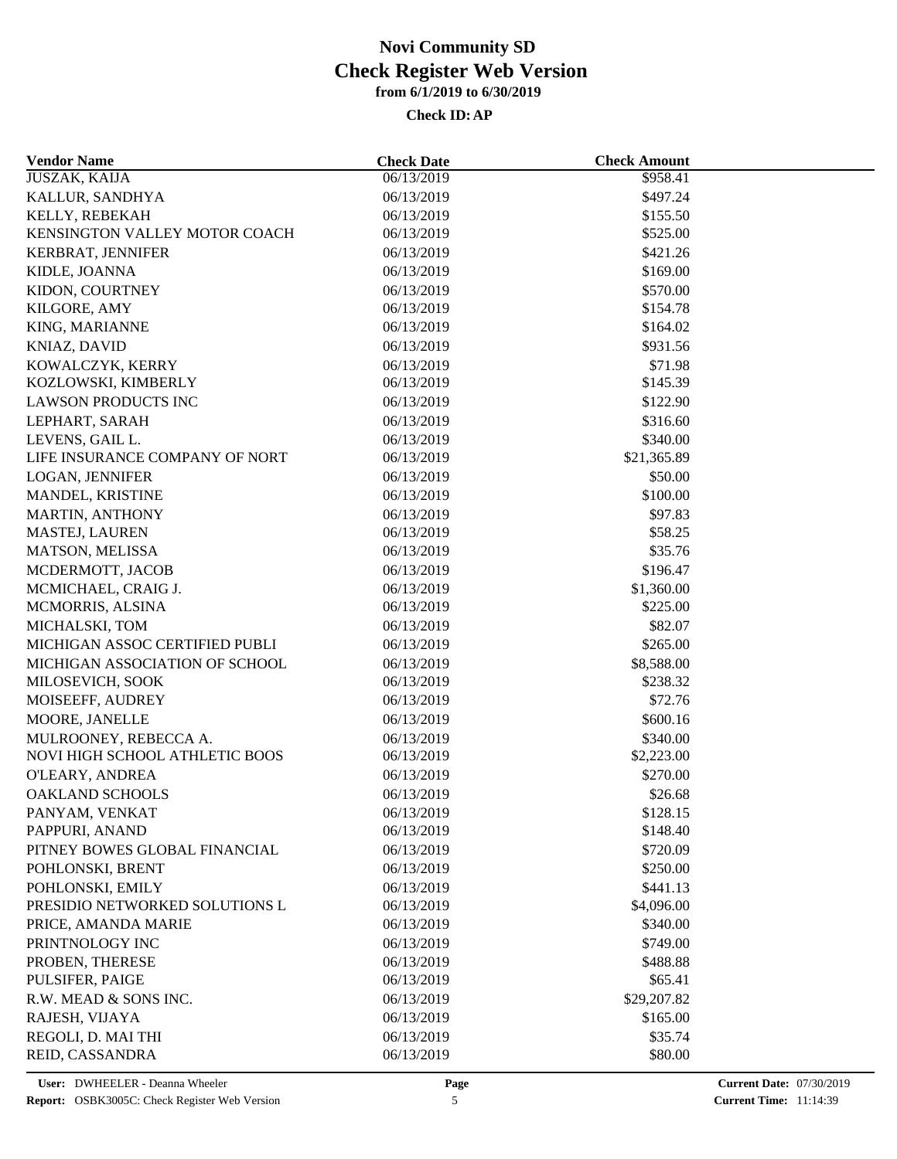| <b>Vendor Name</b>             | <b>Check Date</b> | <b>Check Amount</b> |  |
|--------------------------------|-------------------|---------------------|--|
| JUSZAK, KAIJA                  | 06/13/2019        | \$958.41            |  |
| KALLUR, SANDHYA                | 06/13/2019        | \$497.24            |  |
| KELLY, REBEKAH                 | 06/13/2019        | \$155.50            |  |
| KENSINGTON VALLEY MOTOR COACH  | 06/13/2019        | \$525.00            |  |
| KERBRAT, JENNIFER              | 06/13/2019        | \$421.26            |  |
| KIDLE, JOANNA                  | 06/13/2019        | \$169.00            |  |
| KIDON, COURTNEY                | 06/13/2019        | \$570.00            |  |
| KILGORE, AMY                   | 06/13/2019        | \$154.78            |  |
| KING, MARIANNE                 | 06/13/2019        | \$164.02            |  |
| KNIAZ, DAVID                   | 06/13/2019        | \$931.56            |  |
| KOWALCZYK, KERRY               | 06/13/2019        | \$71.98             |  |
| KOZLOWSKI, KIMBERLY            | 06/13/2019        | \$145.39            |  |
| <b>LAWSON PRODUCTS INC</b>     | 06/13/2019        | \$122.90            |  |
| LEPHART, SARAH                 | 06/13/2019        | \$316.60            |  |
| LEVENS, GAIL L.                | 06/13/2019        | \$340.00            |  |
| LIFE INSURANCE COMPANY OF NORT | 06/13/2019        | \$21,365.89         |  |
| LOGAN, JENNIFER                | 06/13/2019        | \$50.00             |  |
| MANDEL, KRISTINE               | 06/13/2019        | \$100.00            |  |
| <b>MARTIN, ANTHONY</b>         | 06/13/2019        | \$97.83             |  |
| MASTEJ, LAUREN                 | 06/13/2019        | \$58.25             |  |
| MATSON, MELISSA                | 06/13/2019        | \$35.76             |  |
| MCDERMOTT, JACOB               | 06/13/2019        | \$196.47            |  |
| MCMICHAEL, CRAIG J.            | 06/13/2019        | \$1,360.00          |  |
| MCMORRIS, ALSINA               | 06/13/2019        | \$225.00            |  |
| MICHALSKI, TOM                 | 06/13/2019        | \$82.07             |  |
| MICHIGAN ASSOC CERTIFIED PUBLI | 06/13/2019        | \$265.00            |  |
| MICHIGAN ASSOCIATION OF SCHOOL | 06/13/2019        | \$8,588.00          |  |
| MILOSEVICH, SOOK               | 06/13/2019        | \$238.32            |  |
| MOISEEFF, AUDREY               | 06/13/2019        | \$72.76             |  |
| MOORE, JANELLE                 | 06/13/2019        | \$600.16            |  |
| MULROONEY, REBECCA A.          | 06/13/2019        | \$340.00            |  |
| NOVI HIGH SCHOOL ATHLETIC BOOS | 06/13/2019        | \$2,223.00          |  |
| O'LEARY, ANDREA                | 06/13/2019        | \$270.00            |  |
| OAKLAND SCHOOLS                | 06/13/2019        | \$26.68             |  |
| PANYAM, VENKAT                 | 06/13/2019        | \$128.15            |  |
| PAPPURI, ANAND                 | 06/13/2019        | \$148.40            |  |
| PITNEY BOWES GLOBAL FINANCIAL  | 06/13/2019        | \$720.09            |  |
| POHLONSKI, BRENT               | 06/13/2019        | \$250.00            |  |
| POHLONSKI, EMILY               | 06/13/2019        | \$441.13            |  |
| PRESIDIO NETWORKED SOLUTIONS L | 06/13/2019        | \$4,096.00          |  |
| PRICE, AMANDA MARIE            | 06/13/2019        | \$340.00            |  |
| PRINTNOLOGY INC                | 06/13/2019        | \$749.00            |  |
| PROBEN, THERESE                | 06/13/2019        | \$488.88            |  |
| PULSIFER, PAIGE                | 06/13/2019        | \$65.41             |  |
| R.W. MEAD & SONS INC.          | 06/13/2019        | \$29,207.82         |  |
| RAJESH, VIJAYA                 |                   |                     |  |
|                                | 06/13/2019        | \$165.00            |  |
| REGOLI, D. MAI THI             | 06/13/2019        | \$35.74             |  |
| REID, CASSANDRA                | 06/13/2019        | \$80.00             |  |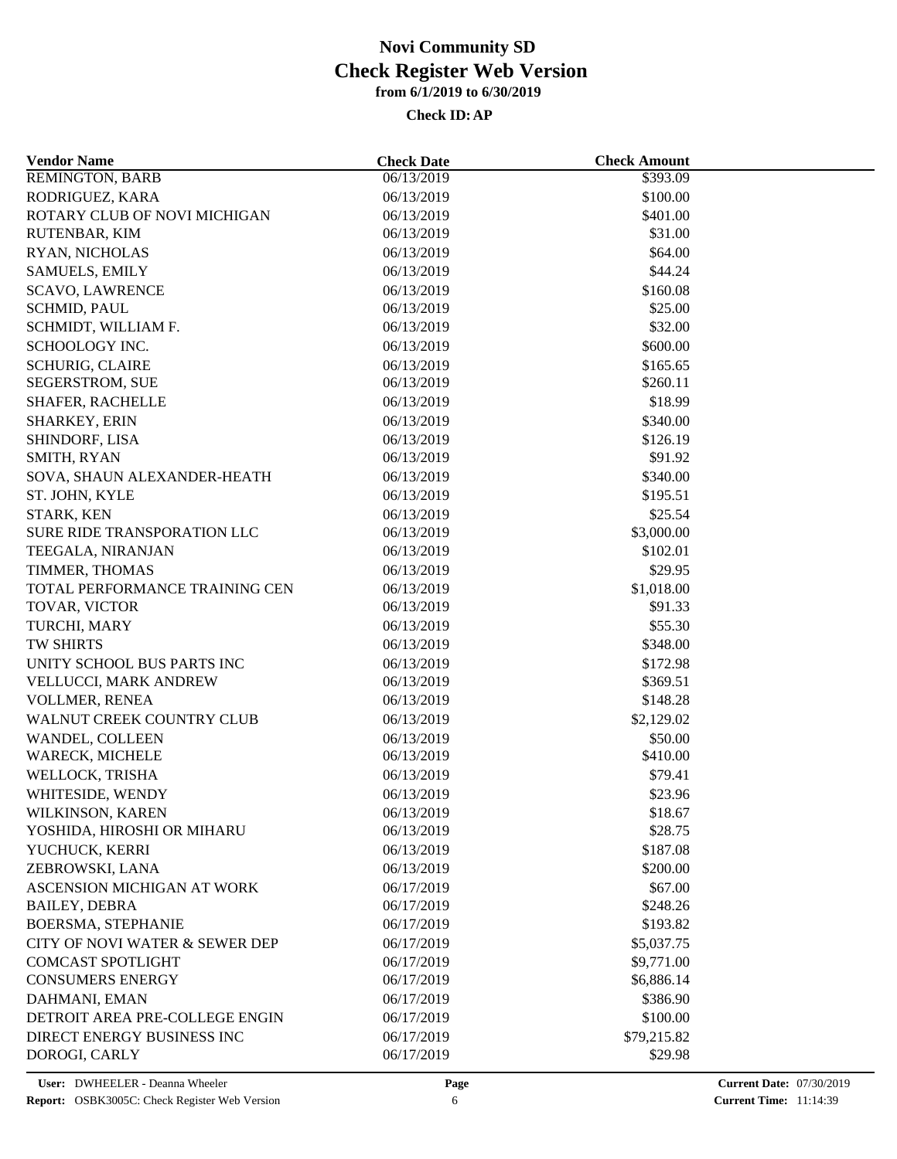| <b>Vendor Name</b>                 | <b>Check Date</b> | <b>Check Amount</b>   |  |
|------------------------------------|-------------------|-----------------------|--|
| <b>REMINGTON, BARB</b>             | 06/13/2019        | \$393.09              |  |
| RODRIGUEZ, KARA                    | 06/13/2019        | \$100.00              |  |
| ROTARY CLUB OF NOVI MICHIGAN       | 06/13/2019        | \$401.00              |  |
| RUTENBAR, KIM                      | 06/13/2019        | \$31.00               |  |
| RYAN, NICHOLAS                     | 06/13/2019        | \$64.00               |  |
| <b>SAMUELS, EMILY</b>              | 06/13/2019        | \$44.24               |  |
| <b>SCAVO, LAWRENCE</b>             | 06/13/2019        | \$160.08              |  |
| <b>SCHMID, PAUL</b>                | 06/13/2019        | \$25.00               |  |
| SCHMIDT, WILLIAM F.                | 06/13/2019        | \$32.00               |  |
| SCHOOLOGY INC.                     | 06/13/2019        | \$600.00              |  |
| <b>SCHURIG, CLAIRE</b>             | 06/13/2019        | \$165.65              |  |
| SEGERSTROM, SUE                    | 06/13/2019        | \$260.11              |  |
| SHAFER, RACHELLE                   | 06/13/2019        | \$18.99               |  |
| SHARKEY, ERIN                      | 06/13/2019        | \$340.00              |  |
| SHINDORF, LISA                     | 06/13/2019        | \$126.19              |  |
| SMITH, RYAN                        | 06/13/2019        | \$91.92               |  |
| SOVA, SHAUN ALEXANDER-HEATH        | 06/13/2019        | \$340.00              |  |
| ST. JOHN, KYLE                     | 06/13/2019        | \$195.51              |  |
| STARK, KEN                         | 06/13/2019        | \$25.54               |  |
| SURE RIDE TRANSPORATION LLC        | 06/13/2019        | \$3,000.00            |  |
| TEEGALA, NIRANJAN                  | 06/13/2019        | \$102.01              |  |
| TIMMER, THOMAS                     | 06/13/2019        | \$29.95               |  |
| TOTAL PERFORMANCE TRAINING CEN     | 06/13/2019        | \$1,018.00            |  |
| TOVAR, VICTOR                      | 06/13/2019        | \$91.33               |  |
| TURCHI, MARY                       | 06/13/2019        | \$55.30               |  |
| TW SHIRTS                          | 06/13/2019        | \$348.00              |  |
| UNITY SCHOOL BUS PARTS INC         | 06/13/2019        | \$172.98              |  |
| VELLUCCI, MARK ANDREW              | 06/13/2019        | \$369.51              |  |
| VOLLMER, RENEA                     | 06/13/2019        | \$148.28              |  |
| WALNUT CREEK COUNTRY CLUB          |                   |                       |  |
|                                    | 06/13/2019        | \$2,129.02<br>\$50.00 |  |
| WANDEL, COLLEEN<br>WARECK, MICHELE | 06/13/2019        |                       |  |
|                                    | 06/13/2019        | \$410.00              |  |
| WELLOCK, TRISHA                    | 06/13/2019        | \$79.41               |  |
| WHITESIDE, WENDY                   | 06/13/2019        | \$23.96               |  |
| WILKINSON, KAREN                   | 06/13/2019        | \$18.67               |  |
| YOSHIDA, HIROSHI OR MIHARU         | 06/13/2019        | \$28.75               |  |
| YUCHUCK, KERRI                     | 06/13/2019        | \$187.08              |  |
| ZEBROWSKI, LANA                    | 06/13/2019        | \$200.00              |  |
| <b>ASCENSION MICHIGAN AT WORK</b>  | 06/17/2019        | \$67.00               |  |
| <b>BAILEY, DEBRA</b>               | 06/17/2019        | \$248.26              |  |
| <b>BOERSMA, STEPHANIE</b>          | 06/17/2019        | \$193.82              |  |
| CITY OF NOVI WATER & SEWER DEP     | 06/17/2019        | \$5,037.75            |  |
| <b>COMCAST SPOTLIGHT</b>           | 06/17/2019        | \$9,771.00            |  |
| <b>CONSUMERS ENERGY</b>            | 06/17/2019        | \$6,886.14            |  |
| DAHMANI, EMAN                      | 06/17/2019        | \$386.90              |  |
| DETROIT AREA PRE-COLLEGE ENGIN     | 06/17/2019        | \$100.00              |  |
| DIRECT ENERGY BUSINESS INC         | 06/17/2019        | \$79,215.82           |  |
| DOROGI, CARLY                      | 06/17/2019        | \$29.98               |  |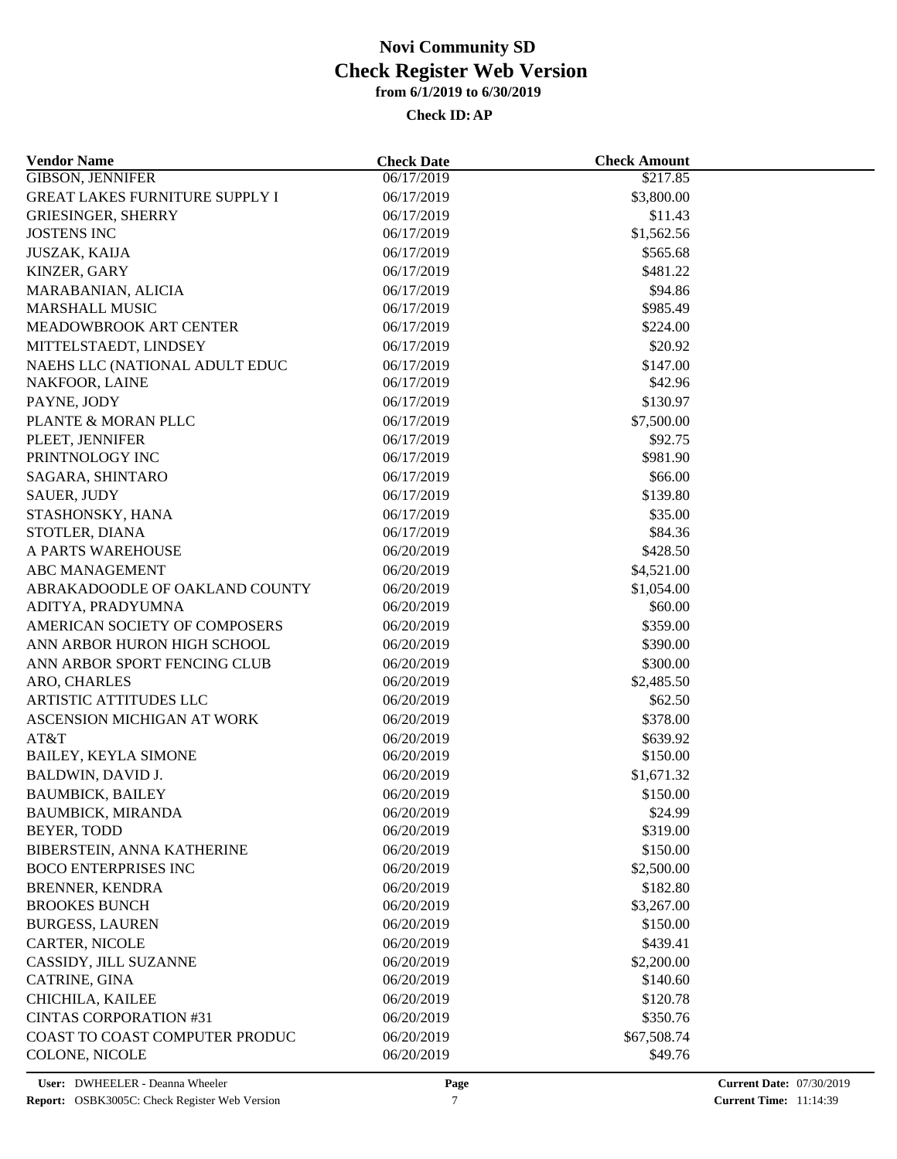| <b>Vendor Name</b>                      | <b>Check Date</b>        | <b>Check Amount</b> |  |
|-----------------------------------------|--------------------------|---------------------|--|
| <b>GIBSON, JENNIFER</b>                 | $\overline{06/17/201}9$  | \$217.85            |  |
| <b>GREAT LAKES FURNITURE SUPPLY I</b>   | 06/17/2019               | \$3,800.00          |  |
| <b>GRIESINGER, SHERRY</b>               | 06/17/2019               | \$11.43             |  |
| <b>JOSTENS INC</b>                      | 06/17/2019               | \$1,562.56          |  |
| JUSZAK, KAIJA                           | 06/17/2019               | \$565.68            |  |
| KINZER, GARY                            | 06/17/2019               | \$481.22            |  |
| MARABANIAN, ALICIA                      | 06/17/2019               | \$94.86             |  |
| <b>MARSHALL MUSIC</b>                   | 06/17/2019               | \$985.49            |  |
| MEADOWBROOK ART CENTER                  | 06/17/2019               | \$224.00            |  |
| MITTELSTAEDT, LINDSEY                   | 06/17/2019               | \$20.92             |  |
| NAEHS LLC (NATIONAL ADULT EDUC          | 06/17/2019               | \$147.00            |  |
| NAKFOOR, LAINE                          | 06/17/2019               | \$42.96             |  |
| PAYNE, JODY                             | 06/17/2019               | \$130.97            |  |
| PLANTE & MORAN PLLC                     | 06/17/2019               | \$7,500.00          |  |
| PLEET, JENNIFER                         | 06/17/2019               | \$92.75             |  |
| PRINTNOLOGY INC                         | 06/17/2019               | \$981.90            |  |
| SAGARA, SHINTARO                        | 06/17/2019               | \$66.00             |  |
| <b>SAUER, JUDY</b>                      | 06/17/2019               | \$139.80            |  |
| STASHONSKY, HANA                        | 06/17/2019               | \$35.00             |  |
| STOTLER, DIANA                          | 06/17/2019               | \$84.36             |  |
| A PARTS WAREHOUSE                       | 06/20/2019               | \$428.50            |  |
| <b>ABC MANAGEMENT</b>                   | 06/20/2019               | \$4,521.00          |  |
| ABRAKADOODLE OF OAKLAND COUNTY          | 06/20/2019               | \$1,054.00          |  |
| ADITYA, PRADYUMNA                       | 06/20/2019               | \$60.00             |  |
| AMERICAN SOCIETY OF COMPOSERS           | 06/20/2019               | \$359.00            |  |
| ANN ARBOR HURON HIGH SCHOOL             | 06/20/2019               | \$390.00            |  |
| ANN ARBOR SPORT FENCING CLUB            | 06/20/2019               | \$300.00            |  |
| ARO, CHARLES                            | 06/20/2019               | \$2,485.50          |  |
| ARTISTIC ATTITUDES LLC                  | 06/20/2019               | \$62.50             |  |
| ASCENSION MICHIGAN AT WORK              | 06/20/2019               | \$378.00            |  |
| AT&T                                    | 06/20/2019               | \$639.92            |  |
| <b>BAILEY, KEYLA SIMONE</b>             | 06/20/2019               | \$150.00            |  |
| <b>BALDWIN, DAVID J.</b>                | 06/20/2019               | \$1,671.32          |  |
| <b>BAUMBICK, BAILEY</b>                 | 06/20/2019               | \$150.00            |  |
|                                         |                          | \$24.99             |  |
| <b>BAUMBICK, MIRANDA</b><br>BEYER, TODD | 06/20/2019<br>06/20/2019 | \$319.00            |  |
| BIBERSTEIN, ANNA KATHERINE              | 06/20/2019               | \$150.00            |  |
|                                         |                          |                     |  |
| <b>BOCO ENTERPRISES INC</b>             | 06/20/2019               | \$2,500.00          |  |
| <b>BRENNER, KENDRA</b>                  | 06/20/2019               | \$182.80            |  |
| <b>BROOKES BUNCH</b>                    | 06/20/2019               | \$3,267.00          |  |
| <b>BURGESS, LAUREN</b>                  | 06/20/2019               | \$150.00            |  |
| <b>CARTER, NICOLE</b>                   | 06/20/2019               | \$439.41            |  |
| CASSIDY, JILL SUZANNE                   | 06/20/2019               | \$2,200.00          |  |
| CATRINE, GINA                           | 06/20/2019               | \$140.60            |  |
| CHICHILA, KAILEE                        | 06/20/2019               | \$120.78            |  |
| <b>CINTAS CORPORATION #31</b>           | 06/20/2019               | \$350.76            |  |
| COAST TO COAST COMPUTER PRODUC          | 06/20/2019               | \$67,508.74         |  |
| COLONE, NICOLE                          | 06/20/2019               | \$49.76             |  |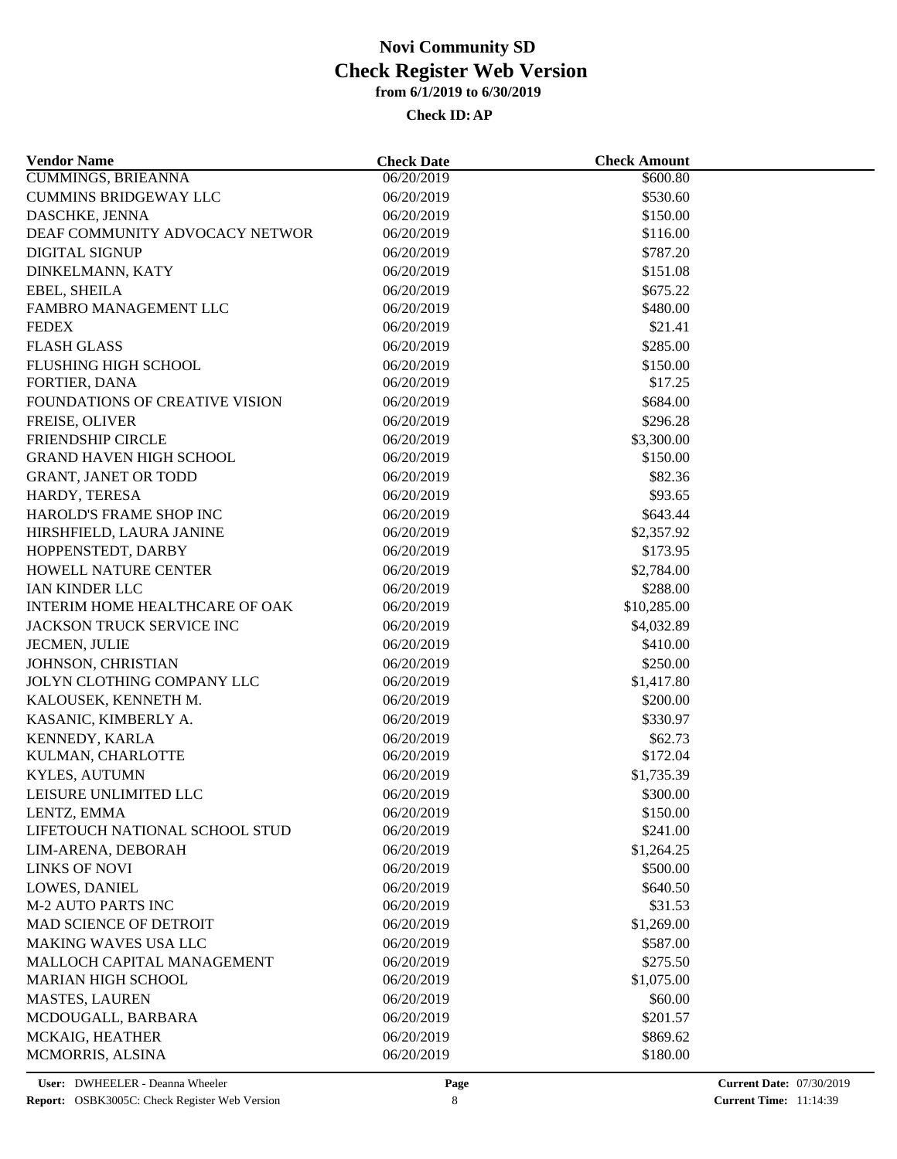| <b>Vendor Name</b>                    | <b>Check Date</b> | <b>Check Amount</b> |  |
|---------------------------------------|-------------------|---------------------|--|
| <b>CUMMINGS, BRIEANNA</b>             | 06/20/2019        | \$600.80            |  |
| <b>CUMMINS BRIDGEWAY LLC</b>          | 06/20/2019        | \$530.60            |  |
| DASCHKE, JENNA                        | 06/20/2019        | \$150.00            |  |
| DEAF COMMUNITY ADVOCACY NETWOR        | 06/20/2019        | \$116.00            |  |
| <b>DIGITAL SIGNUP</b>                 | 06/20/2019        | \$787.20            |  |
| DINKELMANN, KATY                      | 06/20/2019        | \$151.08            |  |
| EBEL, SHEILA                          | 06/20/2019        | \$675.22            |  |
| FAMBRO MANAGEMENT LLC                 | 06/20/2019        | \$480.00            |  |
| <b>FEDEX</b>                          | 06/20/2019        | \$21.41             |  |
| <b>FLASH GLASS</b>                    | 06/20/2019        | \$285.00            |  |
| FLUSHING HIGH SCHOOL                  | 06/20/2019        | \$150.00            |  |
| FORTIER, DANA                         | 06/20/2019        | \$17.25             |  |
| <b>FOUNDATIONS OF CREATIVE VISION</b> | 06/20/2019        | \$684.00            |  |
| FREISE, OLIVER                        | 06/20/2019        | \$296.28            |  |
| FRIENDSHIP CIRCLE                     | 06/20/2019        | \$3,300.00          |  |
| <b>GRAND HAVEN HIGH SCHOOL</b>        | 06/20/2019        | \$150.00            |  |
| <b>GRANT, JANET OR TODD</b>           | 06/20/2019        | \$82.36             |  |
| HARDY, TERESA                         | 06/20/2019        | \$93.65             |  |
| HAROLD'S FRAME SHOP INC               | 06/20/2019        | \$643.44            |  |
| HIRSHFIELD, LAURA JANINE              | 06/20/2019        | \$2,357.92          |  |
| HOPPENSTEDT, DARBY                    | 06/20/2019        | \$173.95            |  |
| <b>HOWELL NATURE CENTER</b>           | 06/20/2019        | \$2,784.00          |  |
| IAN KINDER LLC                        | 06/20/2019        | \$288.00            |  |
| INTERIM HOME HEALTHCARE OF OAK        | 06/20/2019        | \$10,285.00         |  |
| JACKSON TRUCK SERVICE INC             | 06/20/2019        | \$4,032.89          |  |
| JECMEN, JULIE                         | 06/20/2019        | \$410.00            |  |
| JOHNSON, CHRISTIAN                    | 06/20/2019        | \$250.00            |  |
| JOLYN CLOTHING COMPANY LLC            | 06/20/2019        | \$1,417.80          |  |
| KALOUSEK, KENNETH M.                  | 06/20/2019        | \$200.00            |  |
|                                       |                   |                     |  |
| KASANIC, KIMBERLY A.                  | 06/20/2019        | \$330.97            |  |
| KENNEDY, KARLA                        | 06/20/2019        | \$62.73             |  |
| KULMAN, CHARLOTTE                     | 06/20/2019        | \$172.04            |  |
| KYLES, AUTUMN                         | 06/20/2019        | \$1,735.39          |  |
| LEISURE UNLIMITED LLC                 | 06/20/2019        | \$300.00            |  |
| LENTZ, EMMA                           | 06/20/2019        | \$150.00            |  |
| LIFETOUCH NATIONAL SCHOOL STUD        | 06/20/2019        | \$241.00            |  |
| LIM-ARENA, DEBORAH                    | 06/20/2019        | \$1,264.25          |  |
| LINKS OF NOVI                         | 06/20/2019        | \$500.00            |  |
| <b>LOWES, DANIEL</b>                  | 06/20/2019        | \$640.50            |  |
| <b>M-2 AUTO PARTS INC</b>             | 06/20/2019        | \$31.53             |  |
| MAD SCIENCE OF DETROIT                | 06/20/2019        | \$1,269.00          |  |
| MAKING WAVES USA LLC                  | 06/20/2019        | \$587.00            |  |
| MALLOCH CAPITAL MANAGEMENT            | 06/20/2019        | \$275.50            |  |
| <b>MARIAN HIGH SCHOOL</b>             | 06/20/2019        | \$1,075.00          |  |
| <b>MASTES, LAUREN</b>                 | 06/20/2019        | \$60.00             |  |
| MCDOUGALL, BARBARA                    | 06/20/2019        | \$201.57            |  |
| MCKAIG, HEATHER                       | 06/20/2019        | \$869.62            |  |
| MCMORRIS, ALSINA                      | 06/20/2019        | \$180.00            |  |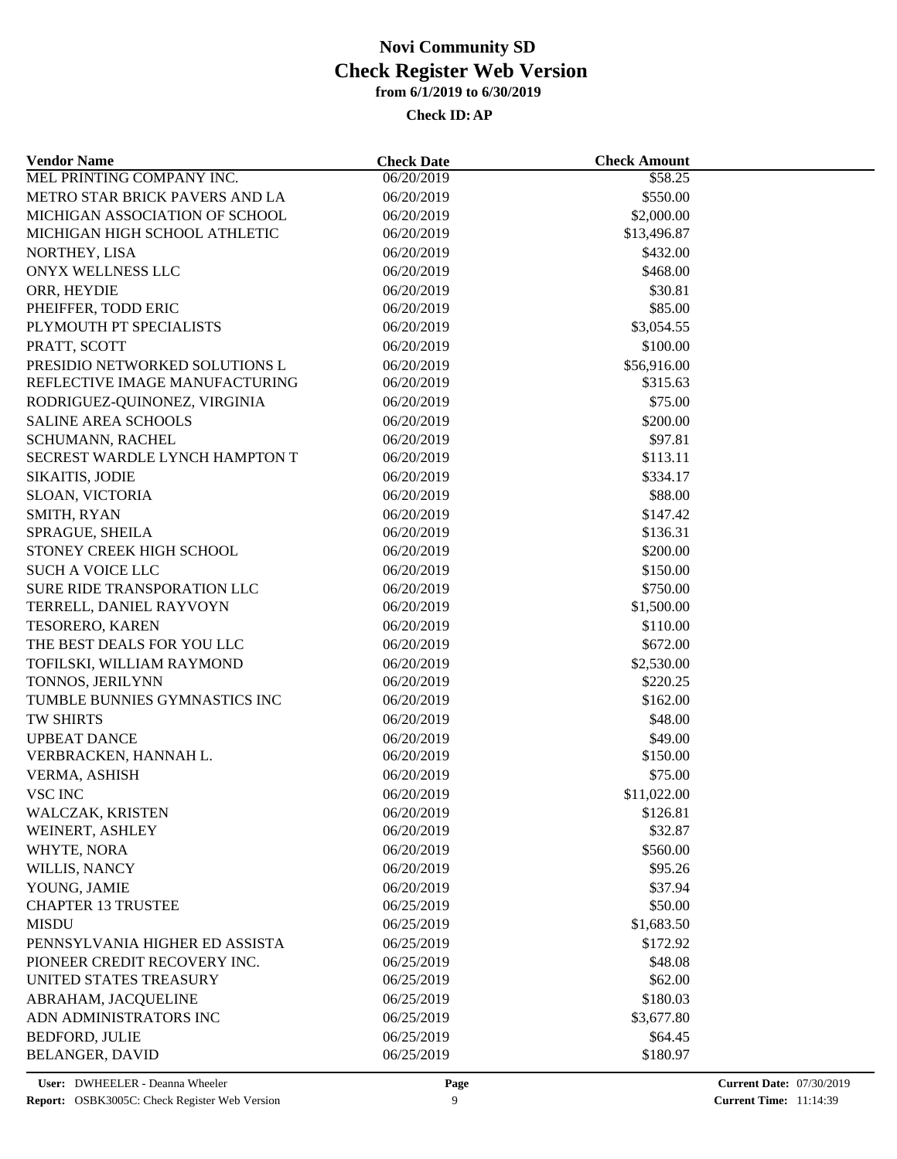| <b>Vendor Name</b>             | <b>Check Date</b> | <b>Check Amount</b> |  |
|--------------------------------|-------------------|---------------------|--|
| MEL PRINTING COMPANY INC.      | 06/20/2019        | \$58.25             |  |
| METRO STAR BRICK PAVERS AND LA | 06/20/2019        | \$550.00            |  |
| MICHIGAN ASSOCIATION OF SCHOOL | 06/20/2019        | \$2,000.00          |  |
| MICHIGAN HIGH SCHOOL ATHLETIC  | 06/20/2019        | \$13,496.87         |  |
| NORTHEY, LISA                  | 06/20/2019        | \$432.00            |  |
| ONYX WELLNESS LLC              | 06/20/2019        | \$468.00            |  |
| ORR, HEYDIE                    | 06/20/2019        | \$30.81             |  |
| PHEIFFER, TODD ERIC            | 06/20/2019        | \$85.00             |  |
| PLYMOUTH PT SPECIALISTS        | 06/20/2019        | \$3,054.55          |  |
| PRATT, SCOTT                   | 06/20/2019        | \$100.00            |  |
| PRESIDIO NETWORKED SOLUTIONS L | 06/20/2019        | \$56,916.00         |  |
| REFLECTIVE IMAGE MANUFACTURING | 06/20/2019        | \$315.63            |  |
| RODRIGUEZ-QUINONEZ, VIRGINIA   | 06/20/2019        | \$75.00             |  |
| SALINE AREA SCHOOLS            | 06/20/2019        | \$200.00            |  |
| SCHUMANN, RACHEL               | 06/20/2019        | \$97.81             |  |
| SECREST WARDLE LYNCH HAMPTON T | 06/20/2019        | \$113.11            |  |
| SIKAITIS, JODIE                | 06/20/2019        | \$334.17            |  |
| SLOAN, VICTORIA                | 06/20/2019        | \$88.00             |  |
| SMITH, RYAN                    | 06/20/2019        | \$147.42            |  |
| SPRAGUE, SHEILA                | 06/20/2019        | \$136.31            |  |
| STONEY CREEK HIGH SCHOOL       | 06/20/2019        | \$200.00            |  |
| <b>SUCH A VOICE LLC</b>        | 06/20/2019        | \$150.00            |  |
| SURE RIDE TRANSPORATION LLC    | 06/20/2019        | \$750.00            |  |
| TERRELL, DANIEL RAYVOYN        | 06/20/2019        | \$1,500.00          |  |
| TESORERO, KAREN                | 06/20/2019        | \$110.00            |  |
| THE BEST DEALS FOR YOU LLC     | 06/20/2019        | \$672.00            |  |
| TOFILSKI, WILLIAM RAYMOND      | 06/20/2019        | \$2,530.00          |  |
| TONNOS, JERILYNN               | 06/20/2019        | \$220.25            |  |
| TUMBLE BUNNIES GYMNASTICS INC  | 06/20/2019        | \$162.00            |  |
| TW SHIRTS                      | 06/20/2019        | \$48.00             |  |
| <b>UPBEAT DANCE</b>            | 06/20/2019        | \$49.00             |  |
| VERBRACKEN, HANNAH L.          | 06/20/2019        | \$150.00            |  |
| VERMA, ASHISH                  | 06/20/2019        | \$75.00             |  |
| <b>VSC INC</b>                 | 06/20/2019        | \$11,022.00         |  |
| WALCZAK, KRISTEN               | 06/20/2019        | \$126.81            |  |
| WEINERT, ASHLEY                | 06/20/2019        | \$32.87             |  |
| WHYTE, NORA                    | 06/20/2019        | \$560.00            |  |
| WILLIS, NANCY                  | 06/20/2019        | \$95.26             |  |
| YOUNG, JAMIE                   | 06/20/2019        | \$37.94             |  |
| <b>CHAPTER 13 TRUSTEE</b>      | 06/25/2019        | \$50.00             |  |
| <b>MISDU</b>                   | 06/25/2019        | \$1,683.50          |  |
| PENNSYLVANIA HIGHER ED ASSISTA | 06/25/2019        | \$172.92            |  |
| PIONEER CREDIT RECOVERY INC.   | 06/25/2019        | \$48.08             |  |
| UNITED STATES TREASURY         | 06/25/2019        | \$62.00             |  |
| ABRAHAM, JACQUELINE            |                   |                     |  |
|                                | 06/25/2019        | \$180.03            |  |
| ADN ADMINISTRATORS INC         | 06/25/2019        | \$3,677.80          |  |
| BEDFORD, JULIE                 | 06/25/2019        | \$64.45             |  |
| <b>BELANGER, DAVID</b>         | 06/25/2019        | \$180.97            |  |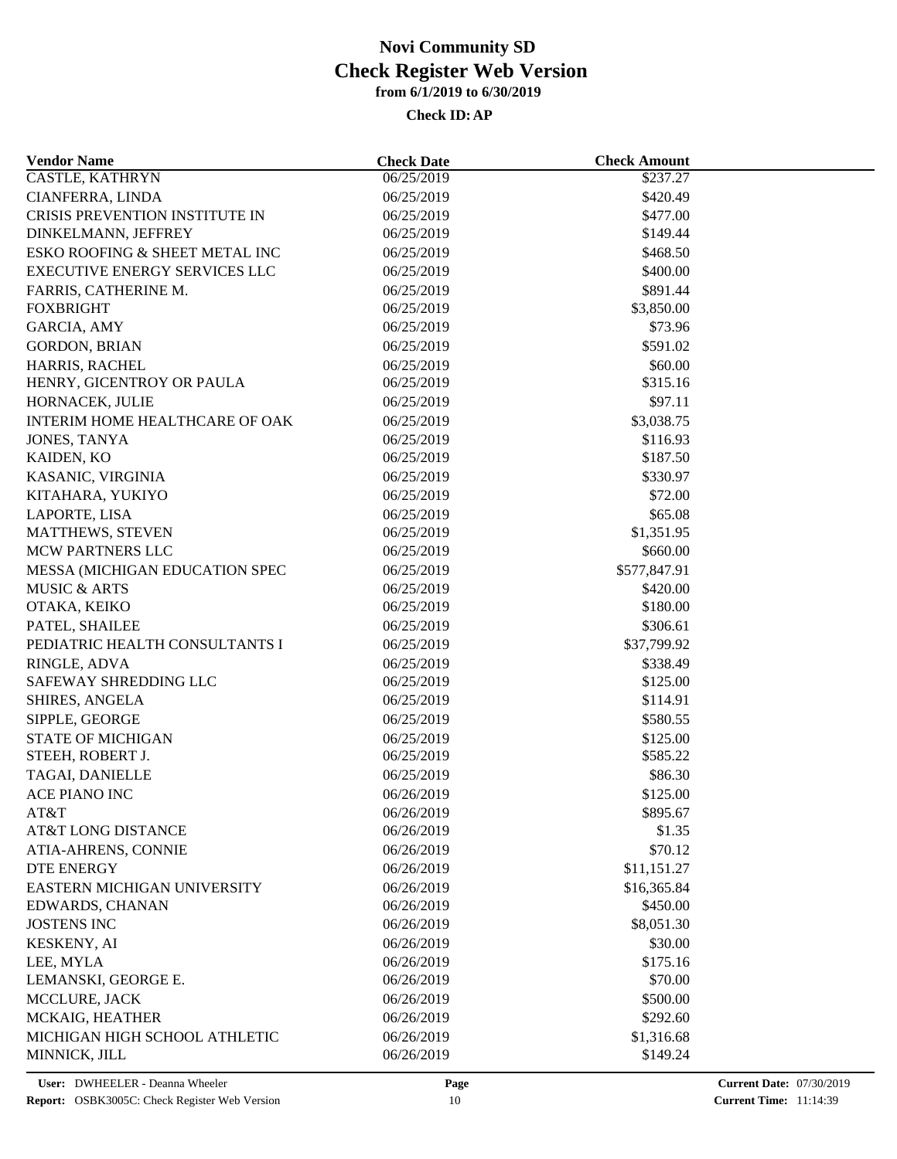| <b>Vendor Name</b>             | <b>Check Date</b> | <b>Check Amount</b>  |  |
|--------------------------------|-------------------|----------------------|--|
| CASTLE, KATHRYN                | 06/25/2019        | $\overline{$}237.27$ |  |
| CIANFERRA, LINDA               | 06/25/2019        | \$420.49             |  |
| CRISIS PREVENTION INSTITUTE IN | 06/25/2019        | \$477.00             |  |
| DINKELMANN, JEFFREY            | 06/25/2019        | \$149.44             |  |
| ESKO ROOFING & SHEET METAL INC | 06/25/2019        | \$468.50             |  |
| EXECUTIVE ENERGY SERVICES LLC  | 06/25/2019        | \$400.00             |  |
| FARRIS, CATHERINE M.           | 06/25/2019        | \$891.44             |  |
| <b>FOXBRIGHT</b>               | 06/25/2019        | \$3,850.00           |  |
| <b>GARCIA, AMY</b>             | 06/25/2019        | \$73.96              |  |
| <b>GORDON, BRIAN</b>           | 06/25/2019        | \$591.02             |  |
| HARRIS, RACHEL                 | 06/25/2019        | \$60.00              |  |
| HENRY, GICENTROY OR PAULA      | 06/25/2019        | \$315.16             |  |
| HORNACEK, JULIE                | 06/25/2019        | \$97.11              |  |
| INTERIM HOME HEALTHCARE OF OAK | 06/25/2019        | \$3,038.75           |  |
| JONES, TANYA                   | 06/25/2019        | \$116.93             |  |
| KAIDEN, KO                     | 06/25/2019        | \$187.50             |  |
| KASANIC, VIRGINIA              | 06/25/2019        | \$330.97             |  |
| KITAHARA, YUKIYO               | 06/25/2019        | \$72.00              |  |
| LAPORTE, LISA                  | 06/25/2019        | \$65.08              |  |
| MATTHEWS, STEVEN               | 06/25/2019        | \$1,351.95           |  |
| MCW PARTNERS LLC               | 06/25/2019        | \$660.00             |  |
| MESSA (MICHIGAN EDUCATION SPEC | 06/25/2019        | \$577,847.91         |  |
| <b>MUSIC &amp; ARTS</b>        | 06/25/2019        | \$420.00             |  |
| OTAKA, KEIKO                   | 06/25/2019        | \$180.00             |  |
| PATEL, SHAILEE                 | 06/25/2019        | \$306.61             |  |
| PEDIATRIC HEALTH CONSULTANTS I | 06/25/2019        | \$37,799.92          |  |
| RINGLE, ADVA                   | 06/25/2019        | \$338.49             |  |
| SAFEWAY SHREDDING LLC          | 06/25/2019        | \$125.00             |  |
| SHIRES, ANGELA                 | 06/25/2019        | \$114.91             |  |
| SIPPLE, GEORGE                 | 06/25/2019        | \$580.55             |  |
| <b>STATE OF MICHIGAN</b>       | 06/25/2019        | \$125.00             |  |
| STEEH, ROBERT J.               | 06/25/2019        | \$585.22             |  |
| TAGAI, DANIELLE                | 06/25/2019        | \$86.30              |  |
| ACE PIANO INC                  | 06/26/2019        | \$125.00             |  |
| AT&T                           | 06/26/2019        | \$895.67             |  |
| AT&T LONG DISTANCE             | 06/26/2019        | \$1.35               |  |
| ATIA-AHRENS, CONNIE            | 06/26/2019        | \$70.12              |  |
| DTE ENERGY                     | 06/26/2019        | \$11,151.27          |  |
| EASTERN MICHIGAN UNIVERSITY    | 06/26/2019        | \$16,365.84          |  |
| EDWARDS, CHANAN                | 06/26/2019        | \$450.00             |  |
| <b>JOSTENS INC</b>             | 06/26/2019        | \$8,051.30           |  |
| <b>KESKENY, AI</b>             | 06/26/2019        | \$30.00              |  |
| LEE, MYLA                      | 06/26/2019        | \$175.16             |  |
| LEMANSKI, GEORGE E.            | 06/26/2019        | \$70.00              |  |
| MCCLURE, JACK                  | 06/26/2019        | \$500.00             |  |
| MCKAIG, HEATHER                | 06/26/2019        | \$292.60             |  |
| MICHIGAN HIGH SCHOOL ATHLETIC  | 06/26/2019        | \$1,316.68           |  |
| MINNICK, JILL                  | 06/26/2019        | \$149.24             |  |
|                                |                   |                      |  |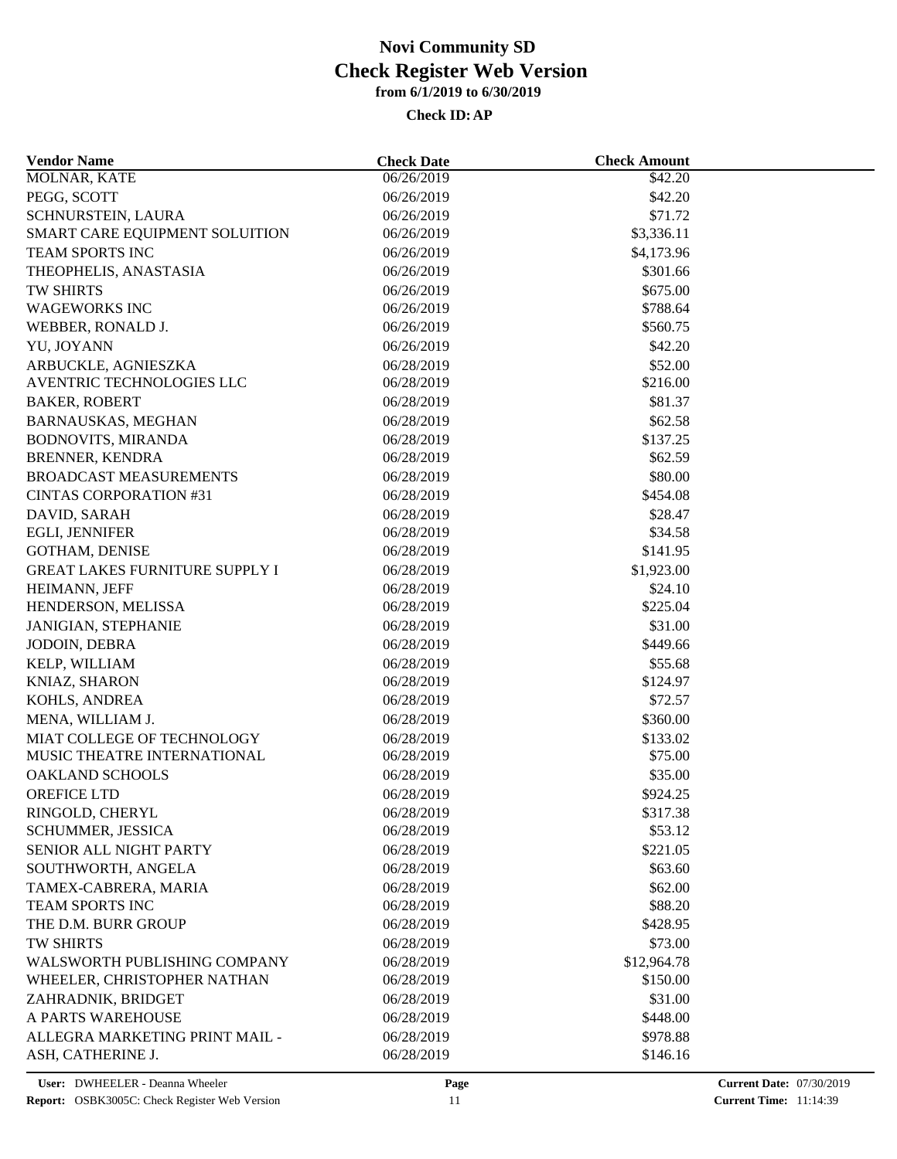| <b>Vendor Name</b>                    | <b>Check Date</b>        | <b>Check Amount</b> |  |
|---------------------------------------|--------------------------|---------------------|--|
| MOLNAR, KATE                          | 06/26/2019               | \$42.20             |  |
| PEGG, SCOTT                           | 06/26/2019               | \$42.20             |  |
| SCHNURSTEIN, LAURA                    | 06/26/2019               | \$71.72             |  |
| SMART CARE EQUIPMENT SOLUITION        | 06/26/2019               | \$3,336.11          |  |
| TEAM SPORTS INC                       | 06/26/2019               | \$4,173.96          |  |
| THEOPHELIS, ANASTASIA                 | 06/26/2019               | \$301.66            |  |
| <b>TW SHIRTS</b>                      | 06/26/2019               | \$675.00            |  |
| <b>WAGEWORKS INC</b>                  | 06/26/2019               | \$788.64            |  |
| WEBBER, RONALD J.                     | 06/26/2019               | \$560.75            |  |
| YU, JOYANN                            | 06/26/2019               | \$42.20             |  |
| ARBUCKLE, AGNIESZKA                   | 06/28/2019               | \$52.00             |  |
| AVENTRIC TECHNOLOGIES LLC             | 06/28/2019               | \$216.00            |  |
| <b>BAKER, ROBERT</b>                  | 06/28/2019               | \$81.37             |  |
| BARNAUSKAS, MEGHAN                    | 06/28/2019               | \$62.58             |  |
| <b>BODNOVITS, MIRANDA</b>             | 06/28/2019               | \$137.25            |  |
| <b>BRENNER, KENDRA</b>                | 06/28/2019               | \$62.59             |  |
| <b>BROADCAST MEASUREMENTS</b>         | 06/28/2019               | \$80.00             |  |
| <b>CINTAS CORPORATION #31</b>         | 06/28/2019               | \$454.08            |  |
|                                       |                          |                     |  |
| DAVID, SARAH<br>EGLI, JENNIFER        | 06/28/2019<br>06/28/2019 | \$28.47<br>\$34.58  |  |
|                                       |                          |                     |  |
| GOTHAM, DENISE                        | 06/28/2019               | \$141.95            |  |
| <b>GREAT LAKES FURNITURE SUPPLY I</b> | 06/28/2019               | \$1,923.00          |  |
| HEIMANN, JEFF                         | 06/28/2019               | \$24.10             |  |
| HENDERSON, MELISSA                    | 06/28/2019               | \$225.04            |  |
| <b>JANIGIAN, STEPHANIE</b>            | 06/28/2019               | \$31.00             |  |
| JODOIN, DEBRA                         | 06/28/2019               | \$449.66            |  |
| KELP, WILLIAM                         | 06/28/2019               | \$55.68             |  |
| KNIAZ, SHARON                         | 06/28/2019               | \$124.97            |  |
| KOHLS, ANDREA                         | 06/28/2019               | \$72.57             |  |
| MENA, WILLIAM J.                      | 06/28/2019               | \$360.00            |  |
| MIAT COLLEGE OF TECHNOLOGY            | 06/28/2019               | \$133.02            |  |
| MUSIC THEATRE INTERNATIONAL           | 06/28/2019               | \$75.00             |  |
| <b>OAKLAND SCHOOLS</b>                | 06/28/2019               | \$35.00             |  |
| <b>OREFICE LTD</b>                    | 06/28/2019               | \$924.25            |  |
| RINGOLD, CHERYL                       | 06/28/2019               | \$317.38            |  |
| SCHUMMER, JESSICA                     | 06/28/2019               | \$53.12             |  |
| SENIOR ALL NIGHT PARTY                | 06/28/2019               | \$221.05            |  |
| SOUTHWORTH, ANGELA                    | 06/28/2019               | \$63.60             |  |
| TAMEX-CABRERA, MARIA                  | 06/28/2019               | \$62.00             |  |
| TEAM SPORTS INC                       | 06/28/2019               | \$88.20             |  |
| THE D.M. BURR GROUP                   | 06/28/2019               | \$428.95            |  |
| TW SHIRTS                             | 06/28/2019               | \$73.00             |  |
| WALSWORTH PUBLISHING COMPANY          | 06/28/2019               | \$12,964.78         |  |
| WHEELER, CHRISTOPHER NATHAN           | 06/28/2019               | \$150.00            |  |
| ZAHRADNIK, BRIDGET                    | 06/28/2019               | \$31.00             |  |
| A PARTS WAREHOUSE                     | 06/28/2019               | \$448.00            |  |
| ALLEGRA MARKETING PRINT MAIL -        | 06/28/2019               | \$978.88            |  |
| ASH, CATHERINE J.                     | 06/28/2019               | \$146.16            |  |
|                                       |                          |                     |  |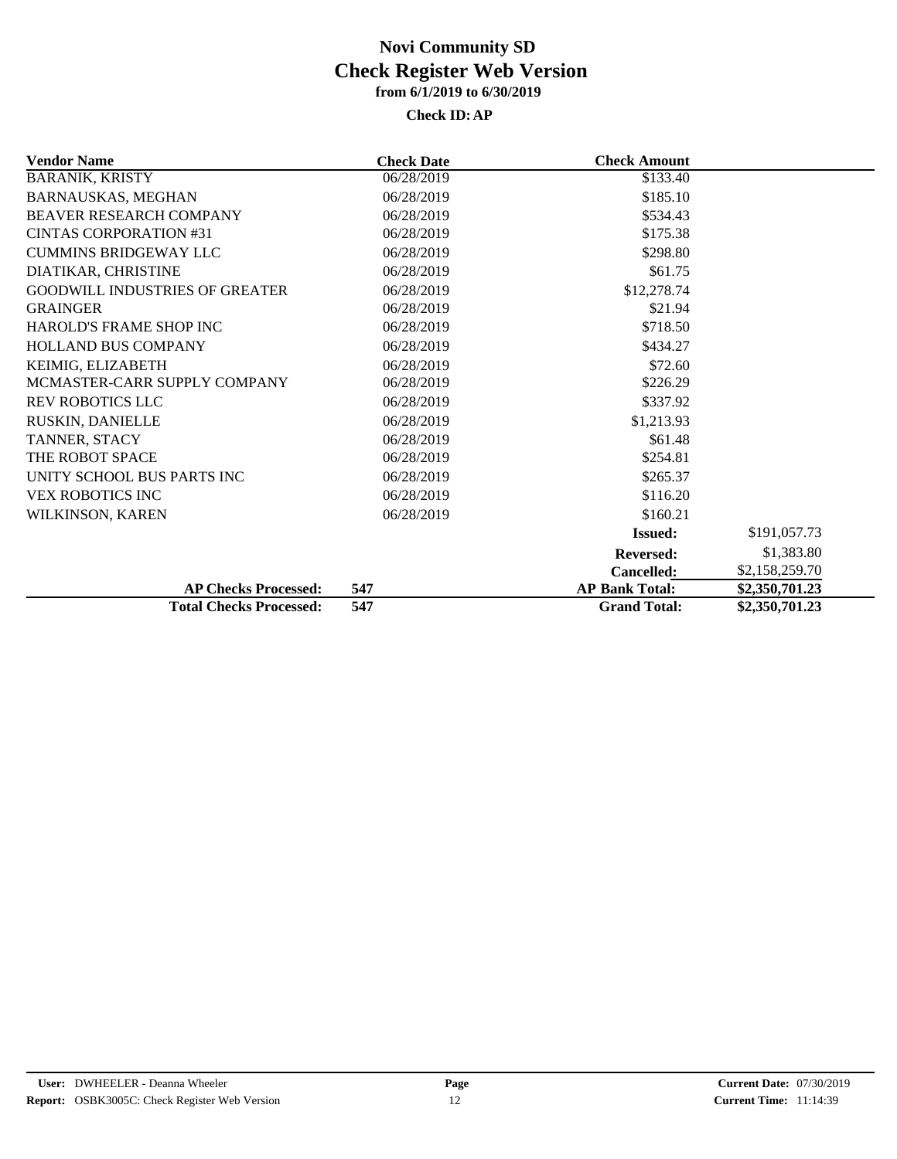| <b>Vendor Name</b>                    | <b>Check Date</b> | <b>Check Amount</b>   |                |
|---------------------------------------|-------------------|-----------------------|----------------|
| <b>BARANIK, KRISTY</b>                | 06/28/2019        | \$133.40              |                |
| BARNAUSKAS, MEGHAN                    | 06/28/2019        | \$185.10              |                |
| <b>BEAVER RESEARCH COMPANY</b>        | 06/28/2019        | \$534.43              |                |
| <b>CINTAS CORPORATION #31</b>         | 06/28/2019        | \$175.38              |                |
| <b>CUMMINS BRIDGEWAY LLC</b>          | 06/28/2019        | \$298.80              |                |
| DIATIKAR, CHRISTINE                   | 06/28/2019        | \$61.75               |                |
| <b>GOODWILL INDUSTRIES OF GREATER</b> | 06/28/2019        | \$12,278.74           |                |
| <b>GRAINGER</b>                       | 06/28/2019        | \$21.94               |                |
| <b>HAROLD'S FRAME SHOP INC</b>        | 06/28/2019        | \$718.50              |                |
| <b>HOLLAND BUS COMPANY</b>            | 06/28/2019        | \$434.27              |                |
| KEIMIG, ELIZABETH                     | 06/28/2019        | \$72.60               |                |
| MCMASTER-CARR SUPPLY COMPANY          | 06/28/2019        | \$226.29              |                |
| <b>REV ROBOTICS LLC</b>               | 06/28/2019        | \$337.92              |                |
| RUSKIN, DANIELLE                      | 06/28/2019        | \$1,213.93            |                |
| TANNER, STACY                         | 06/28/2019        | \$61.48               |                |
| THE ROBOT SPACE                       | 06/28/2019        | \$254.81              |                |
| UNITY SCHOOL BUS PARTS INC            | 06/28/2019        | \$265.37              |                |
| <b>VEX ROBOTICS INC.</b>              | 06/28/2019        | \$116.20              |                |
| WILKINSON, KAREN                      | 06/28/2019        | \$160.21              |                |
|                                       |                   | <b>Issued:</b>        | \$191,057.73   |
|                                       |                   | <b>Reversed:</b>      | \$1,383.80     |
|                                       |                   | <b>Cancelled:</b>     | \$2,158,259.70 |
| <b>AP Checks Processed:</b>           | 547               | <b>AP Bank Total:</b> | \$2,350,701.23 |
| <b>Total Checks Processed:</b>        | 547               | <b>Grand Total:</b>   | \$2,350,701.23 |